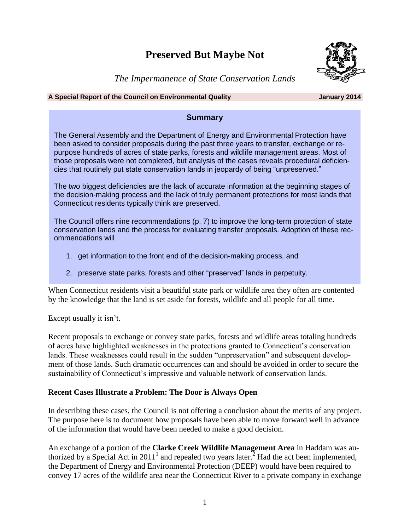# **Preserved But Maybe Not**



*The Impermanence of State Conservation Lands*

#### **A Special Report of the Council on Environmental Quality January 2014**

# **Summary**

The General Assembly and the Department of Energy and Environmental Protection have been asked to consider proposals during the past three years to transfer, exchange or repurpose hundreds of acres of state parks, forests and wildlife management areas. Most of those proposals were not completed, but analysis of the cases reveals procedural deficiencies that routinely put state conservation lands in jeopardy of being "unpreserved."

The two biggest deficiencies are the lack of accurate information at the beginning stages of the decision-making process and the lack of truly permanent protections for most lands that Connecticut residents typically think are preserved.

The Council offers nine recommendations (p. 7) to improve the long-term protection of state conservation lands and the process for evaluating transfer proposals. Adoption of these recommendations will

- 1. get information to the front end of the decision-making process, and
- 2. preserve state parks, forests and other "preserved" lands in perpetuity.

When Connecticut residents visit a beautiful state park or wildlife area they often are contented by the knowledge that the land is set aside for forests, wildlife and all people for all time.

Except usually it isn't.

Recent proposals to exchange or convey state parks, forests and wildlife areas totaling hundreds of acres have highlighted weaknesses in the protections granted to Connecticut"s conservation lands. These weaknesses could result in the sudden "unpreservation" and subsequent development of those lands. Such dramatic occurrences can and should be avoided in order to secure the sustainability of Connecticut's impressive and valuable network of conservation lands.

# **Recent Cases Illustrate a Problem: The Door is Always Open**

In describing these cases, the Council is not offering a conclusion about the merits of any project. The purpose here is to document how proposals have been able to move forward well in advance of the information that would have been needed to make a good decision.

An exchange of a portion of the **Clarke Creek Wildlife Management Area** in Haddam was authorized by a Special Act in 2011<sup>1</sup> and repealed two years later.<sup>2</sup> Had the act been implemented, the Department of Energy and Environmental Protection (DEEP) would have been required to convey 17 acres of the wildlife area near the Connecticut River to a private company in exchange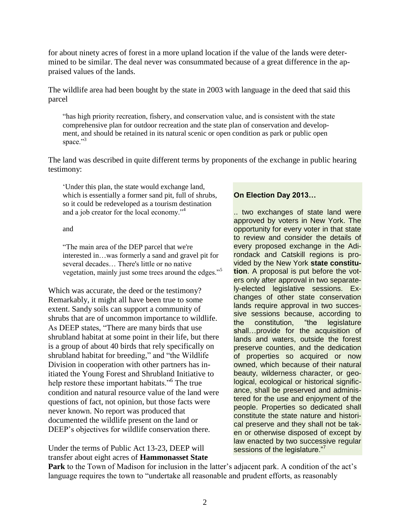for about ninety acres of forest in a more upland location if the value of the lands were determined to be similar. The deal never was consummated because of a great difference in the appraised values of the lands.

The wildlife area had been bought by the state in 2003 with language in the deed that said this parcel

"has high priority recreation, fishery, and conservation value, and is consistent with the state comprehensive plan for outdoor recreation and the state plan of conservation and development, and should be retained in its natural scenic or open condition as park or public open space."<sup>3</sup>

The land was described in quite different terms by proponents of the exchange in public hearing testimony:

"Under this plan, the state would exchange land, which is essentially a former sand pit, full of shrubs, so it could be redeveloped as a tourism destination and a job creator for the local economy."<sup>4</sup>

and

"The main area of the DEP parcel that we're interested in…was formerly a sand and gravel pit for several decades… There's little or no native vegetation, mainly just some trees around the edges."<sup>5</sup>

Which was accurate, the deed or the testimony? Remarkably, it might all have been true to some extent. Sandy soils can support a community of shrubs that are of uncommon importance to wildlife. As DEEP states, "There are many birds that use shrubland habitat at some point in their life, but there is a group of about 40 birds that rely specifically on shrubland habitat for breeding," and "the Wildlife Division in cooperation with other partners has initiated the Young Forest and Shrubland Initiative to help restore these important habitats."<sup>6</sup> The true condition and natural resource value of the land were questions of fact, not opinion, but those facts were never known. No report was produced that documented the wildlife present on the land or DEEP's objectives for wildlife conservation there.

Under the terms of Public Act 13-23, DEEP will transfer about eight acres of **Hammonasset State** 

# **On Election Day 2013…**

.. two exchanges of state land were approved by voters in New York. The opportunity for every voter in that state to review and consider the details of every proposed exchange in the Adirondack and Catskill regions is provided by the New York **state constitution**. A proposal is put before the voters only after approval in two separately-elected legislative sessions. Exchanges of other state conservation lands require approval in two successive sessions because, according to the constitution, "the legislature shall…provide for the acquisition of lands and waters, outside the forest preserve counties, and the dedication of properties so acquired or now owned, which because of their natural beauty, wilderness character, or geological, ecological or historical significance, shall be preserved and administered for the use and enjoyment of the people. Properties so dedicated shall constitute the state nature and historical preserve and they shall not be taken or otherwise disposed of except by law enacted by two successive regular sessions of the legislature."<sup>7</sup>

**Park** to the Town of Madison for inclusion in the latter's adjacent park. A condition of the act's language requires the town to "undertake all reasonable and prudent efforts, as reasonably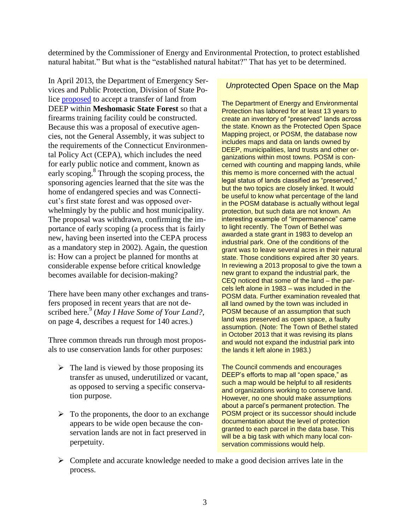determined by the Commissioner of Energy and Environmental Protection, to protect established natural habitat." But what is the "established natural habitat?" That has yet to be determined.

In April 2013, the Department of Emergency Services and Public Protection, Division of State Police [proposed](http://www.ct.gov/ceq/cwp/view.asp?a=987&Q=524040) to accept a transfer of land from DEEP within **Meshomasic State Forest** so that a firearms training facility could be constructed. Because this was a proposal of executive agencies, not the General Assembly, it was subject to the requirements of the Connecticut Environmental Policy Act (CEPA), which includes the need for early public notice and comment, known as early scoping.<sup>8</sup> Through the scoping process, the sponsoring agencies learned that the site was the home of endangered species and was Connecticut"s first state forest and was opposed overwhelmingly by the public and host municipality. The proposal was withdrawn, confirming the importance of early scoping (a process that is fairly new, having been inserted into the CEPA process as a mandatory step in 2002). Again, the question is: How can a project be planned for months at considerable expense before critical knowledge becomes available for decision-making?

There have been many other exchanges and transfers proposed in recent years that are not described here.<sup>9</sup> (May I Have Some of Your Land?, on page 4, describes a request for 140 acres.)

Three common threads run through most proposals to use conservation lands for other purposes:

- $\triangleright$  The land is viewed by those proposing its transfer as unused, underutilized or vacant, as opposed to serving a specific conservation purpose.
- $\triangleright$  To the proponents, the door to an exchange appears to be wide open because the conservation lands are not in fact preserved in perpetuity.

# *Un*protected Open Space on the Map

The Department of Energy and Environmental Protection has labored for at least 13 years to create an inventory of "preserved" lands across the state. Known as the Protected Open Space Mapping project, or POSM, the database now includes maps and data on lands owned by DEEP, municipalities, land trusts and other organizations within most towns. POSM is concerned with counting and mapping lands, while this memo is more concerned with the actual legal status of lands classified as "preserved," but the two topics are closely linked. It would be useful to know what percentage of the land in the POSM database is actually without legal protection, but such data are not known. An interesting example of "impermanence" came to light recently. The Town of Bethel was awarded a state grant in 1983 to develop an industrial park. One of the conditions of the grant was to leave several acres in their natural state. Those conditions expired after 30 years. In reviewing a 2013 proposal to give the town a new grant to expand the industrial park, the CEQ noticed that some of the land – the parcels left alone in 1983 – was included in the POSM data. Further examination revealed that all land owned by the town was included in POSM because of an assumption that such land was preserved as open space, a faulty assumption. (Note: The Town of Bethel stated in October 2013 that it was revising its plans and would not expand the industrial park into the lands it left alone in 1983.)

The Council commends and encourages DEEP's efforts to map all "open space," as such a map would be helpful to all residents and organizations working to conserve land. However, no one should make assumptions about a parcel's permanent protection. The POSM project or its successor should include documentation about the level of protection granted to each parcel in the data base. This will be a big task with which many local conservation commissions would help.

 $\triangleright$  Complete and accurate knowledge needed to make a good decision arrives late in the process.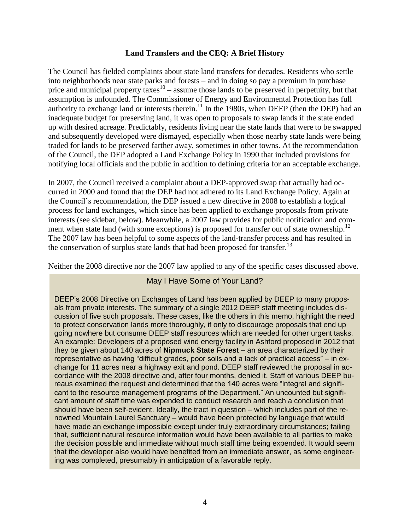# **Land Transfers and the CEQ: A Brief History**

The Council has fielded complaints about state land transfers for decades. Residents who settle into neighborhoods near state parks and forests – and in doing so pay a premium in purchase price and municipal property taxes<sup>10</sup> – assume those lands to be preserved in perpetuity, but that assumption is unfounded. The Commissioner of Energy and Environmental Protection has full authority to exchange land or interests therein.<sup>11</sup> In the 1980s, when DEEP (then the DEP) had an inadequate budget for preserving land, it was open to proposals to swap lands if the state ended up with desired acreage. Predictably, residents living near the state lands that were to be swapped and subsequently developed were dismayed, especially when those nearby state lands were being traded for lands to be preserved farther away, sometimes in other towns. At the recommendation of the Council, the DEP adopted a Land Exchange Policy in 1990 that included provisions for notifying local officials and the public in addition to defining criteria for an acceptable exchange.

In 2007, the Council received a complaint about a DEP-approved swap that actually had occurred in 2000 and found that the DEP had not adhered to its Land Exchange Policy. Again at the Council"s recommendation, the DEP issued a new directive in 2008 to establish a logical process for land exchanges, which since has been applied to exchange proposals from private interests (see sidebar, below). Meanwhile, a 2007 law provides for public notification and comment when state land (with some exceptions) is proposed for transfer out of state ownership.<sup>12</sup> The 2007 law has been helpful to some aspects of the land-transfer process and has resulted in the conservation of surplus state lands that had been proposed for transfer.<sup>13</sup>

Neither the 2008 directive nor the 2007 law applied to any of the specific cases discussed above.

# May I Have Some of Your Land?

DEEP's 2008 Directive on Exchanges of Land has been applied by DEEP to many proposals from private interests. The summary of a single 2012 DEEP staff meeting includes discussion of five such proposals. These cases, like the others in this memo, highlight the need to protect conservation lands more thoroughly, if only to discourage proposals that end up going nowhere but consume DEEP staff resources which are needed for other urgent tasks. An example: Developers of a proposed wind energy facility in Ashford proposed in 2012 that they be given about 140 acres of **Nipmuck State Forest** – an area characterized by their representative as having "difficult grades, poor soils and a lack of practical access" – in exchange for 11 acres near a highway exit and pond. DEEP staff reviewed the proposal in accordance with the 2008 directive and, after four months, denied it. Staff of various DEEP bureaus examined the request and determined that the 140 acres were "integral and significant to the resource management programs of the Department." An uncounted but significant amount of staff time was expended to conduct research and reach a conclusion that should have been self-evident. Ideally, the tract in question – which includes part of the renowned Mountain Laurel Sanctuary – would have been protected by language that would have made an exchange impossible except under truly extraordinary circumstances; failing that, sufficient natural resource information would have been available to all parties to make the decision possible and immediate without much staff time being expended. It would seem that the developer also would have benefited from an immediate answer, as some engineering was completed, presumably in anticipation of a favorable reply.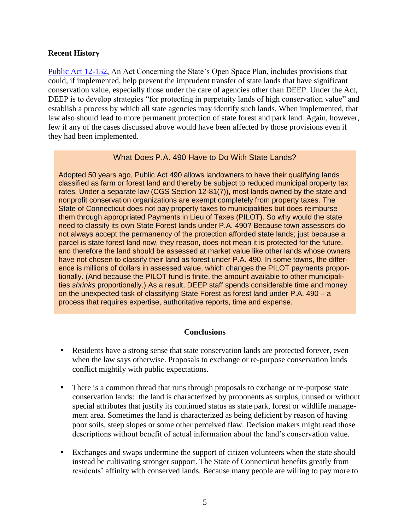# **Recent History**

[Public Act 12-152,](http://www.cga.ct.gov/2012/ACT/PA/2012PA-00152-R00SB-00347-PA.htm) An Act Concerning the State's Open Space Plan, includes provisions that could, if implemented, help prevent the imprudent transfer of state lands that have significant conservation value, especially those under the care of agencies other than DEEP. Under the Act, DEEP is to develop strategies "for protecting in perpetuity lands of high conservation value" and establish a process by which all state agencies may identify such lands. When implemented, that law also should lead to more permanent protection of state forest and park land. Again, however, few if any of the cases discussed above would have been affected by those provisions even if they had been implemented.

# What Does P.A. 490 Have to Do With State Lands?

Adopted 50 years ago, Public Act 490 allows landowners to have their qualifying lands classified as farm or forest land and thereby be subject to reduced municipal property tax rates. Under a separate law (CGS Section 12-81(7)), most lands owned by the state and nonprofit conservation organizations are exempt completely from property taxes. The State of Connecticut does not pay property taxes to municipalities but does reimburse them through appropriated Payments in Lieu of Taxes (PILOT). So why would the state need to classify its own State Forest lands under P.A. 490? Because town assessors do not always accept the permanency of the protection afforded state lands; just because a parcel is state forest land now, they reason, does not mean it is protected for the future, and therefore the land should be assessed at market value like other lands whose owners have not chosen to classify their land as forest under P.A. 490. In some towns, the difference is millions of dollars in assessed value, which changes the PILOT payments proportionally. (And because the PILOT fund is finite, the amount available to other municipalities *shrinks* proportionally.) As a result, DEEP staff spends considerable time and money on the unexpected task of classifying State Forest as forest land under P.A. 490 – a process that requires expertise, authoritative reports, time and expense.

# **Conclusions**

- Residents have a strong sense that state conservation lands are protected forever, even when the law says otherwise. Proposals to exchange or re-purpose conservation lands conflict mightily with public expectations.
- There is a common thread that runs through proposals to exchange or re-purpose state conservation lands: the land is characterized by proponents as surplus, unused or without special attributes that justify its continued status as state park, forest or wildlife management area. Sometimes the land is characterized as being deficient by reason of having poor soils, steep slopes or some other perceived flaw. Decision makers might read those descriptions without benefit of actual information about the land"s conservation value.
- Exchanges and swaps undermine the support of citizen volunteers when the state should instead be cultivating stronger support. The State of Connecticut benefits greatly from residents" affinity with conserved lands. Because many people are willing to pay more to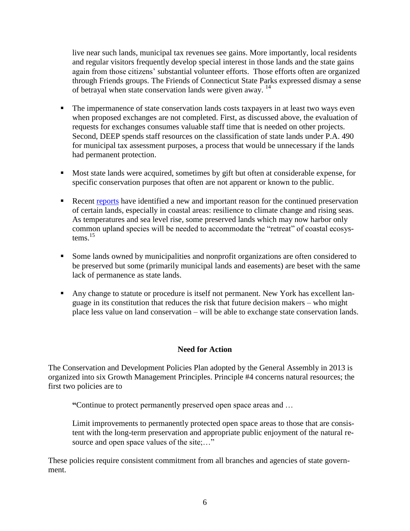live near such lands, municipal tax revenues see gains. More importantly, local residents and regular visitors frequently develop special interest in those lands and the state gains again from those citizens" substantial volunteer efforts. Those efforts often are organized through Friends groups. The Friends of Connecticut State Parks expressed dismay a sense of betrayal when state conservation lands were given away.<sup>14</sup>

- The impermanence of state conservation lands costs taxpayers in at least two ways even when proposed exchanges are not completed. First, as discussed above, the evaluation of requests for exchanges consumes valuable staff time that is needed on other projects. Second, DEEP spends staff resources on the classification of state lands under P.A. 490 for municipal tax assessment purposes, a process that would be unnecessary if the lands had permanent protection.
- Most state lands were acquired, sometimes by gift but often at considerable expense, for specific conservation purposes that often are not apparent or known to the public.
- **Recent [reports](http://www.ct.gov/deep/lib/deep/climatechange/connecticut_climate_preparedness_plan_2011.pdf) have identified a new and important reason for the continued preservation** of certain lands, especially in coastal areas: resilience to climate change and rising seas. As temperatures and sea level rise, some preserved lands which may now harbor only common upland species will be needed to accommodate the "retreat" of coastal ecosystems $^{15}$
- Some lands owned by municipalities and nonprofit organizations are often considered to be preserved but some (primarily municipal lands and easements) are beset with the same lack of permanence as state lands.
- Any change to statute or procedure is itself not permanent. New York has excellent language in its constitution that reduces the risk that future decision makers – who might place less value on land conservation – will be able to exchange state conservation lands.

# **Need for Action**

The Conservation and Development Policies Plan adopted by the General Assembly in 2013 is organized into six Growth Management Principles. Principle #4 concerns natural resources; the first two policies are to

**"**Continue to protect permanently preserved open space areas and …

Limit improvements to permanently protected open space areas to those that are consistent with the long-term preservation and appropriate public enjoyment of the natural resource and open space values of the site;..."

These policies require consistent commitment from all branches and agencies of state government.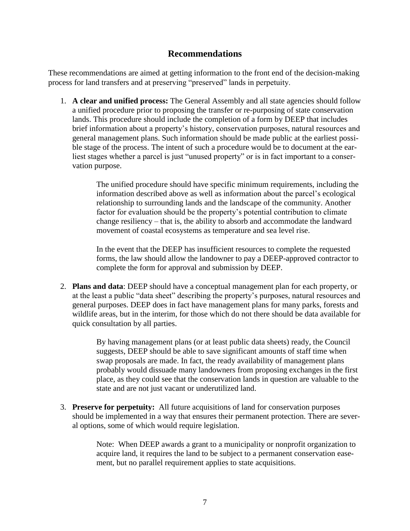# **Recommendations**

These recommendations are aimed at getting information to the front end of the decision-making process for land transfers and at preserving "preserved" lands in perpetuity.

1. **A clear and unified process:** The General Assembly and all state agencies should follow a unified procedure prior to proposing the transfer or re-purposing of state conservation lands. This procedure should include the completion of a form by DEEP that includes brief information about a property"s history, conservation purposes, natural resources and general management plans. Such information should be made public at the earliest possible stage of the process. The intent of such a procedure would be to document at the earliest stages whether a parcel is just "unused property" or is in fact important to a conservation purpose.

> The unified procedure should have specific minimum requirements, including the information described above as well as information about the parcel"s ecological relationship to surrounding lands and the landscape of the community. Another factor for evaluation should be the property's potential contribution to climate change resiliency – that is, the ability to absorb and accommodate the landward movement of coastal ecosystems as temperature and sea level rise.

> In the event that the DEEP has insufficient resources to complete the requested forms, the law should allow the landowner to pay a DEEP-approved contractor to complete the form for approval and submission by DEEP.

2. **Plans and data**: DEEP should have a conceptual management plan for each property, or at the least a public "data sheet" describing the property"s purposes, natural resources and general purposes. DEEP does in fact have management plans for many parks, forests and wildlife areas, but in the interim, for those which do not there should be data available for quick consultation by all parties.

> By having management plans (or at least public data sheets) ready, the Council suggests, DEEP should be able to save significant amounts of staff time when swap proposals are made. In fact, the ready availability of management plans probably would dissuade many landowners from proposing exchanges in the first place, as they could see that the conservation lands in question are valuable to the state and are not just vacant or underutilized land.

3. **Preserve for perpetuity:** All future acquisitions of land for conservation purposes should be implemented in a way that ensures their permanent protection. There are several options, some of which would require legislation.

> Note: When DEEP awards a grant to a municipality or nonprofit organization to acquire land, it requires the land to be subject to a permanent conservation easement, but no parallel requirement applies to state acquisitions.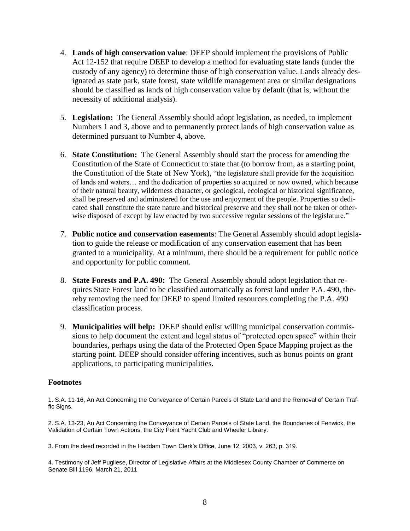- 4. **Lands of high conservation value**: DEEP should implement the provisions of Public Act 12-152 that require DEEP to develop a method for evaluating state lands (under the custody of any agency) to determine those of high conservation value. Lands already designated as state park, state forest, state wildlife management area or similar designations should be classified as lands of high conservation value by default (that is, without the necessity of additional analysis).
- 5. **Legislation:** The General Assembly should adopt legislation, as needed, to implement Numbers 1 and 3, above and to permanently protect lands of high conservation value as determined pursuant to Number 4, above.
- 6. **State Constitution:** The General Assembly should start the process for amending the Constitution of the State of Connecticut to state that (to borrow from, as a starting point, the Constitution of the State of New York), "the legislature shall provide for the acquisition of lands and waters… and the dedication of properties so acquired or now owned, which because of their natural beauty, wilderness character, or geological, ecological or historical significance, shall be preserved and administered for the use and enjoyment of the people. Properties so dedicated shall constitute the state nature and historical preserve and they shall not be taken or otherwise disposed of except by law enacted by two successive regular sessions of the legislature."
- 7. **Public notice and conservation easements**: The General Assembly should adopt legislation to guide the release or modification of any conservation easement that has been granted to a municipality. At a minimum, there should be a requirement for public notice and opportunity for public comment.
- 8. **State Forests and P.A. 490:** The General Assembly should adopt legislation that requires State Forest land to be classified automatically as forest land under P.A. 490, thereby removing the need for DEEP to spend limited resources completing the P.A. 490 classification process.
- 9. **Municipalities will help:** DEEP should enlist willing municipal conservation commissions to help document the extent and legal status of "protected open space" within their boundaries, perhaps using the data of the Protected Open Space Mapping project as the starting point. DEEP should consider offering incentives, such as bonus points on grant applications, to participating municipalities.

# **Footnotes**

1. S.A. 11-16, An Act Concerning the Conveyance of Certain Parcels of State Land and the Removal of Certain Traffic Signs.

2. S.A. 13-23, An Act Concerning the Conveyance of Certain Parcels of State Land, the Boundaries of Fenwick, the Validation of Certain Town Actions, the City Point Yacht Club and Wheeler Library.

3. From the deed recorded in the Haddam Town Clerk's Office, June 12, 2003, v. 263, p. 319.

4. Testimony of Jeff Pugliese, Director of Legislative Affairs at the Middlesex County Chamber of Commerce on Senate Bill 1196, March 21, 2011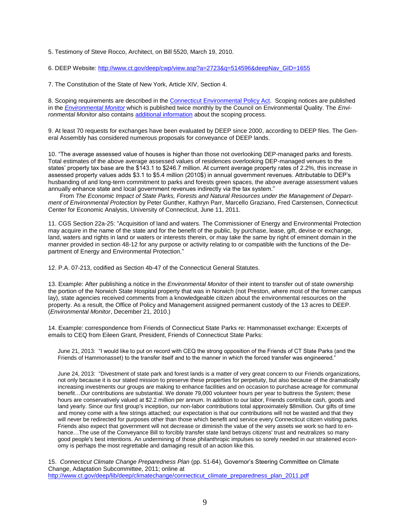5. Testimony of Steve Rocco, Architect, on Bill 5520, March 19, 2010.

6. DEEP Website[: http://www.ct.gov/deep/cwp/view.asp?a=2723&q=514596&deepNav\\_GID=1655](http://www.ct.gov/deep/cwp/view.asp?a=2723&q=514596&deepNav_GID=1655)

7. The Constitution of the State of New York, Article XIV, Section 4.

8. Scoping requirements are described in th[e Connecticut Environmental Policy Act.](http://www.ct.gov/ceq/cwp/view.asp?a=987&Q=249024&ceqNav=|) Scoping notices are published in the *[Environmental Monitor](http://www.ct.gov/ceq/cwp/view.asp?a=987&Q=249438&ceqNav=|)* which is published twice monthly by the Council on Environmental Quality. The *Environmental Monitor* also contains [additional information](http://www.ct.gov/ceq/cwp/view.asp?a=987&Q=249036&ceqNav=|) about the scoping process.

9. At least 70 requests for exchanges have been evaluated by DEEP since 2000, according to DEEP files. The General Assembly has considered numerous proposals for conveyance of DEEP lands.

10. "The average assessed value of houses is higher than those not overlooking DEP-managed parks and forests. Total estimates of the above average assessed values of residences overlooking DEP-managed venues to the states' property tax base are the \$143.1 to \$246.7 million. At current average property rates of 2.2%, this increase in assessed property values adds \$3.1 to \$5.4 million (2010\$) in annual government revenues. Attributable to DEP's husbanding of and long-term commitment to parks and forests green spaces, the above average assessment values annually enhance state and local government revenues indirectly via the tax system."

 From *The Economic Impact of State Parks, Forests and Natural Resources under the Management of Department of Environmental Protection* by Peter Gunther, Kathryn Parr, Marcello Graziano, Fred Carstensen, Connecticut Center for Economic Analysis, University of Connecticut, June 11, 2011.

11. CGS Section 22a-25: "Acquisition of land and waters. The Commissioner of Energy and Environmental Protection may acquire in the name of the state and for the benefit of the public, by purchase, lease, gift, devise or exchange, land, waters and rights in land or waters or interests therein, or may take the same by right of eminent domain in the manner provided in section 48-12 for any purpose or activity relating to or compatible with the functions of the Department of Energy and Environmental Protection."

12. P.A. 07-213, codified as Section 4b-47 of the Connecticut General Statutes.

13. Example: After publishing a notice in the *Environmental Monitor* of their intent to transfer out of state ownership the portion of the Norwich State Hospital property that was in Norwich (not Preston, where most of the former campus lay), state agencies received comments from a knowledgeable citizen about the environmental resources on the property. As a result, the Office of Policy and Management assigned permanent custody of the 13 acres to DEEP. (*Environmental Monitor*, December 21, 2010.)

14. Example: correspondence from Friends of Connecticut State Parks re: Hammonasset exchange: Excerpts of emails to CEQ from Eileen Grant, President, Friends of Connecticut State Parks:

June 21, 2013: "I would like to put on record with CEQ the strong opposition of the Friends of CT State Parks (and the Friends of Hammonasset) to the transfer itself and to the manner in which the forced transfer was engineered."

June 24, 2013: "Divestment of state park and forest lands is a matter of very great concern to our Friends organizations, not only because it is our stated mission to preserve these properties for perpetuity, but also because of the dramatically increasing investments our groups are making to enhance facilities and on occasion to purchase acreage for communal benefit…Our contributions are substantial. We donate 79,000 volunteer hours per year to buttress the System; these hours are conservatively valued at \$2.2 million per annum. In addition to our labor, Friends contribute cash, goods and land yearly. Since our first group's inception, our non-labor contributions total approximately \$8million. Our gifts of time and money come with a few strings attached; our expectation is that our contributions will not be wasted and that they will never be redirected for purposes other than those which benefit and service every Connecticut citizen visiting parks. Friends also expect that government will not decrease or diminish the value of the very assets we work so hard to enhance...The use of the Conveyance Bill to forcibly transfer state land betrays citizens' trust and neutralizes so many good people's best intentions. An undermining of those philanthropic impulses so sorely needed in our straitened economy is perhaps the most regrettable and damaging result of an action like this.

15. *Connecticut Climate Change Preparedness Plan* (pp. 51-64), Governor's Steering Committee on Climate Change, Adaptation Subcommittee, 2011; online at [http://www.ct.gov/deep/lib/deep/climatechange/connecticut\\_climate\\_preparedness\\_plan\\_2011.pdf](http://www.ct.gov/deep/lib/deep/climatechange/connecticut_climate_preparedness_plan_2011.pdf)